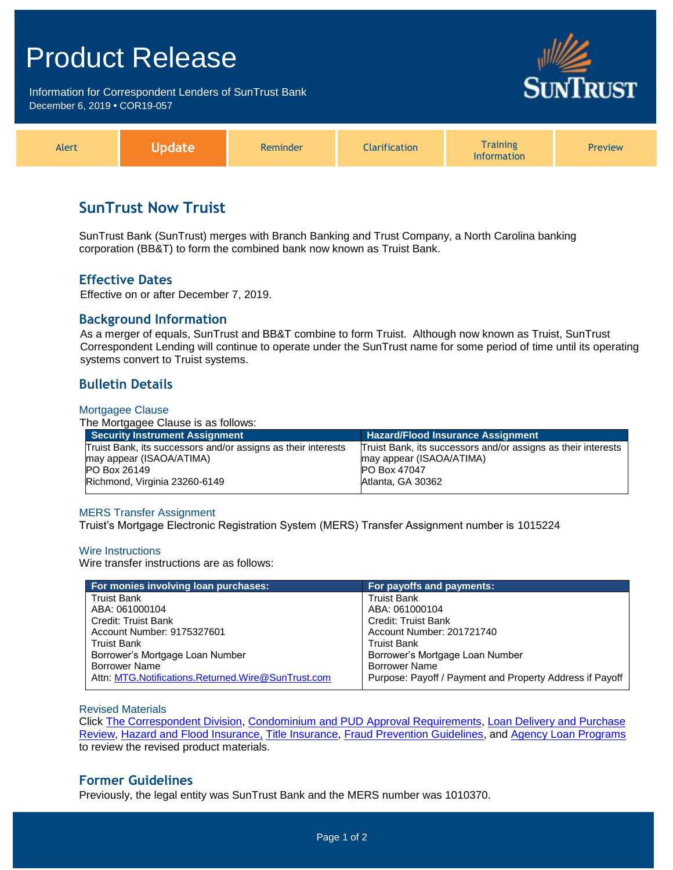# Product Release

Information for Correspondent Lenders of SunTrust Bank December 6, 2019 **•** COR19-057





## **SunTrust Now Truist**

SunTrust Bank (SunTrust) merges with Branch Banking and Trust Company, a North Carolina banking corporation (BB&T) to form the combined bank now known as Truist Bank.

## **Effective Dates**

Effective on or after December 7, 2019.

## **Background Information**

As a merger of equals, SunTrust and BB&T combine to form Truist. Although now known as Truist, SunTrust Correspondent Lending will continue to operate under the SunTrust name for some period of time until its operating systems convert to Truist systems.

## **Bulletin Details**

#### Mortgagee Clause

The Mortgagee Clause is as follows:

| <b>Security Instrument Assignment</b>                         | <b>Hazard/Flood Insurance Assignment</b>                      |  |
|---------------------------------------------------------------|---------------------------------------------------------------|--|
| Truist Bank, its successors and/or assigns as their interests | Truist Bank, its successors and/or assigns as their interests |  |
| may appear (ISAOA/ATIMA)                                      | may appear (ISAOA/ATIMA)                                      |  |
| <b>PO Box 26149</b>                                           | <b>PO Box 47047</b>                                           |  |
| Richmond, Virginia 23260-6149                                 | Atlanta, GA 30362                                             |  |
|                                                               |                                                               |  |

#### MERS Transfer Assignment

Truist's Mortgage Electronic Registration System (MERS) Transfer Assignment number is 1015224

#### Wire Instructions

Wire transfer instructions are as follows:

| For monies involving loan purchases:               | For payoffs and payments:                                |
|----------------------------------------------------|----------------------------------------------------------|
| <b>Truist Bank</b>                                 | <b>Truist Bank</b>                                       |
| ABA: 061000104                                     | ABA: 061000104                                           |
| Credit: Truist Bank                                | <b>Credit: Truist Bank</b>                               |
| Account Number: 9175327601                         | Account Number: 201721740                                |
| <b>Truist Bank</b>                                 | <b>Truist Bank</b>                                       |
| Borrower's Mortgage Loan Number                    | Borrower's Mortgage Loan Number                          |
| <b>Borrower Name</b>                               | <b>Borrower Name</b>                                     |
| Attn: MTG.Notifications.Returned.Wire@SunTrust.com | Purpose: Payoff / Payment and Property Address if Payoff |

Revised Materials

Click [The Correspondent Division,](https://www.truistsellerguide.com/Manual/cor/general/1.01CorrespondentDept.pdf) [Condominium and PUD Approval Requirements,](https://www.truistsellerguide.com/Manual/cor/general/1.06CondoPUD.pdf) [Loan Delivery and Purchase](https://www.truistsellerguide.com/Manual/cor/general/1.08LoanDel.pdf)  [Review,](https://www.truistsellerguide.com/Manual/cor/general/1.08LoanDel.pdf) [Hazard and Flood Insurance,](https://www.truistsellerguide.com/Manual/cor/general/1.14Hazard.pdf) [Title Insurance,](https://www.truistsellerguide.com/Manual/cor/general/1.16titleins.pdf) [Fraud Prevention Guidelines,](https://www.truistsellerguide.com/Manual/cor/general/1.19FraudPreventionGuidelines.pdf) and [Agency Loan Programs](https://www.truistsellerguide.com/Manual/cor/products/CAgency.pdf) to review the revised product materials.

### **Former Guidelines**

Previously, the legal entity was SunTrust Bank and the MERS number was 1010370.